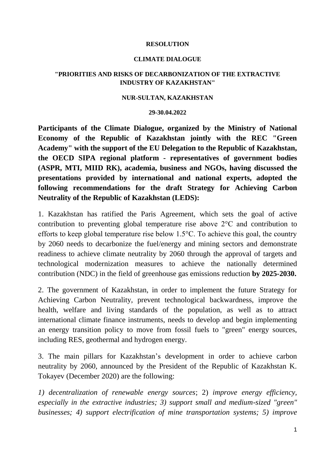# **RESOLUTION**

### **CLIMATE DIALOGUE**

# **"PRIORITIES AND RISKS OF DECARBONIZATION OF THE EXTRACTIVE INDUSTRY OF KAZAKHSTAN"**

#### **NUR-SULTAN, KAZAKHSTAN**

#### **29-30.04.2022**

**Participants of the Climate Dialogue, organized by the Ministry of National Economy of the Republic of Kazakhstan jointly with the REC "Green Academy" with the support of the EU Delegation to the Republic of Kazakhstan, the OECD SIPA regional platform - representatives of government bodies (ASPR, MTI, MIID RK), academia, business and NGOs, having discussed the presentations provided by international and national experts, adopted the following recommendations for the draft Strategy for Achieving Carbon Neutrality of the Republic of Kazakhstan (LEDS):**

1. Kazakhstan has ratified the Paris Agreement, which sets the goal of active contribution to preventing global temperature rise above 2°C and contribution to efforts to keep global temperature rise below 1.5°C. To achieve this goal, the country by 2060 needs to decarbonize the fuel/energy and mining sectors and demonstrate readiness to achieve climate neutrality by 2060 through the approval of targets and technological modernization measures to achieve the nationally determined contribution (NDC) in the field of greenhouse gas emissions reduction **by 2025-2030.**

2. The government of Kazakhstan, in order to implement the future Strategy for Achieving Carbon Neutrality, prevent technological backwardness, improve the health, welfare and living standards of the population, as well as to attract international climate finance instruments, needs to develop and begin implementing an energy transition policy to move from fossil fuels to "green" energy sources, including RES, geothermal and hydrogen energy.

3. The main pillars for Kazakhstan's development in order to achieve carbon neutrality by 2060, announced by the President of the Republic of Kazakhstan K. Tokayev (December 2020) are the following:

*1) decentralization of renewable energy sources*; 2) *improve energy efficiency, especially in the extractive industries; 3) support small and medium-sized "green" businesses; 4) support electrification of mine transportation systems; 5) improve*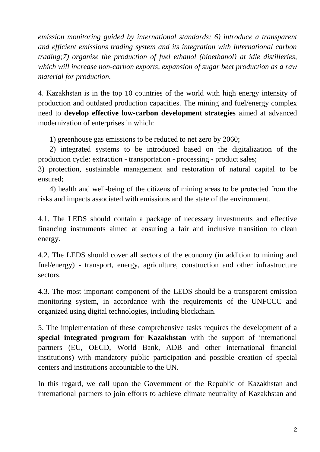*emission monitoring guided by international standards; 6) introduce a transparent and efficient emissions trading system and its integration with international carbon trading;7) organize the production of fuel ethanol (bioethanol) at idle distilleries, which will increase non-carbon exports, expansion of sugar beet production as a raw material for production.*

4. Kazakhstan is in the top 10 countries of the world with high energy intensity of production and outdated production capacities. The mining and fuel/energy complex need to **develop effective low-carbon development strategies** aimed at advanced modernization of enterprises in which:

1) greenhouse gas emissions to be reduced to net zero by 2060;

2) integrated systems to be introduced based on the digitalization of the production cycle: extraction - transportation - processing - product sales;

3) protection, sustainable management and restoration of natural capital to be ensured;

4) health and well-being of the citizens of mining areas to be protected from the risks and impacts associated with emissions and the state of the environment.

4.1. The LEDS should contain a package of necessary investments and effective financing instruments aimed at ensuring a fair and inclusive transition to clean energy.

4.2. The LEDS should cover all sectors of the economy (in addition to mining and fuel/energy) - transport, energy, agriculture, construction and other infrastructure sectors.

4.3. The most important component of the LEDS should be a transparent emission monitoring system, in accordance with the requirements of the UNFCCC and organized using digital technologies, including blockchain.

5. The implementation of these comprehensive tasks requires the development of a **special integrated program for Kazakhstan** with the support of international partners (EU, OECD, World Bank, ADB and other international financial institutions) with mandatory public participation and possible creation of special centers and institutions accountable to the UN.

In this regard, we call upon the Government of the Republic of Kazakhstan and international partners to join efforts to achieve climate neutrality of Kazakhstan and